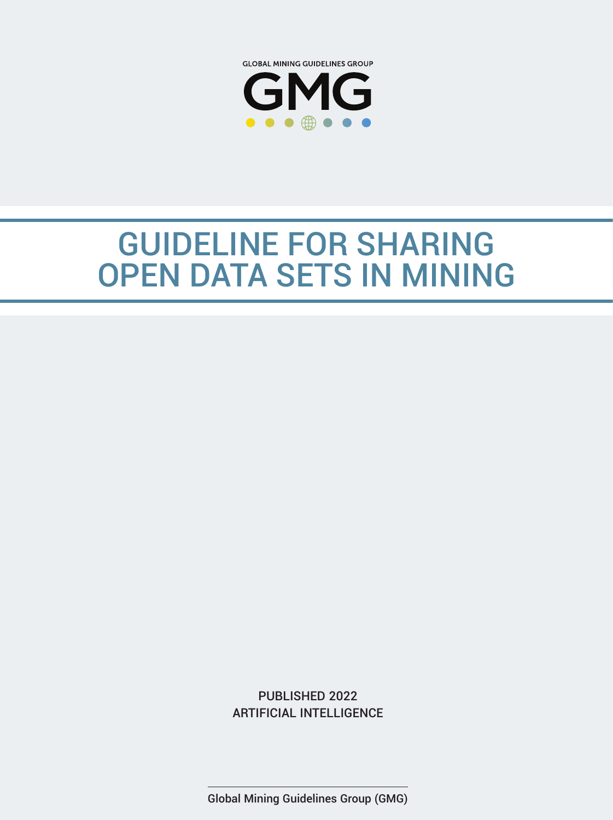

# GUIDELINE FOR SHARING OPEN DATA SETS IN MINING



Global Mining Guidelines Group (GMG)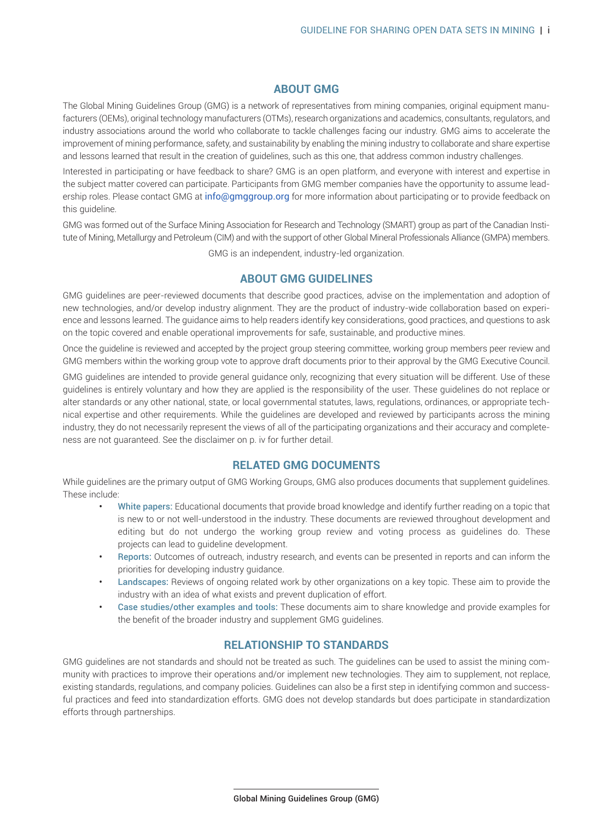# **ABOUT GMG**

The Global Mining Guidelines Group (GMG) is a network of representatives from mining companies, original equipment manufacturers (OEMs), original technology manufacturers (OTMs), research organizations and academics, consultants, regulators, and industry associations around the world who collaborate to tackle challenges facing our industry. GMG aims to accelerate the improvement of mining performance, safety, and sustainability by enabling the mining industry to collaborate and share expertise and lessons learned that result in the creation of guidelines, such as this one, that address common industry challenges.

Interested in participating or have feedback to share? GMG is an open platform, and everyone with interest and expertise in the subject matter covered can parti[cipate. Participants from](mailto:info@gmggroup.org) GMG member companies have the opportunity to assume leadership roles. Please contact GMG at info@gmggroup.org for more information about participating or to provide feedback on this guideline.

GMG was formed out of the Surface Mining Association for Research and Technology (SMART) group as part of the Canadian Institute of Mining, Metallurgy and Petroleum (CIM) and with the support of other Global Mineral Professionals Alliance (GMPA) members.

GMG is an independent, industry-led organization.

## **ABOUT GMG GUIDELINES**

GMG guidelines are peer-reviewed documents that describe good practices, advise on the implementation and adoption of new technologies, and/or develop industry alignment. They are the product of industry-wide collaboration based on experience and lessons learned. The guidance aims to help readers identify key considerations, good practices, and questions to ask on the topic covered and enable operational improvements for safe, sustainable, and productive mines.

Once the guideline is reviewed and accepted by the project group steering committee, working group members peer review and GMG members within the working group vote to approve draft documents prior to their approval by the GMG Executive Council.

GMG guidelines are intended to provide general guidance only, recognizing that every situation will be different. Use of these guidelines is entirely voluntary and how they are applied is the responsibility of the user. These guidelines do not replace or alter standards or any other national, state, or local governmental statutes, laws, regulations, ordinances, or appropriate technical expertise and other requirements. While the guidelines are developed and reviewed by participants across the mining industry, they do not necessarily represent the views of all of the participating organizations and their accuracy and completeness are not guaranteed. See the disclaimer on p. iv for further detail.

# **RELATED GMG DOCUMENTS**

While guidelines are the primary output of GMG Working Groups, GMG also produces documents that supplement guidelines. These include:

- White papers: Educational documents that provide broad knowledge and identify further reading on a topic that is new to or not well-understood in the industry. These documents are reviewed throughout development and editing but do not undergo the working group review and voting process as guidelines do. These projects can lead to guideline development.
- Reports: Outcomes of outreach, industry research, and events can be presented in reports and can inform the priorities for developing industry guidance.
- Landscapes: Reviews of ongoing related work by other organizations on a key topic. These aim to provide the industry with an idea of what exists and prevent duplication of effort.
- Case studies/other examples and tools: These documents aim to share knowledge and provide examples for the benefit of the broader industry and supplement GMG guidelines.

#### **RELATIONSHIP TO STANDARDS**

GMG guidelines are not standards and should not be treated as such. The guidelines can be used to assist the mining community with practices to improve their operations and/or implement new technologies. They aim to supplement, not replace, existing standards, regulations, and company policies. Guidelines can also be a first step in identifying common and successful practices and feed into standardization efforts. GMG does not develop standards but does participate in standardization efforts through partnerships.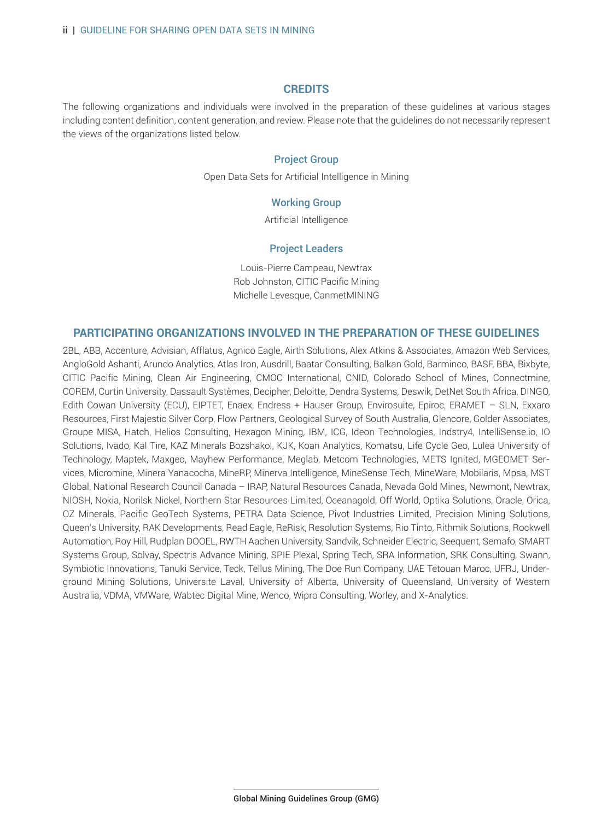#### **CREDITS**

The following organizations and individuals were involved in the preparation of these guidelines at various stages including content definition, content generation, and review. Please note that the guidelines do not necessarily represent the views of the organizations listed below.

## Project Group

Open Data Sets for Artificial Intelligence in Mining

#### Working Group

Artificial Intelligence

#### Project Leaders

Louis-Pierre Campeau, Newtrax Rob Johnston, CITIC Pacific Mining Michelle Levesque, CanmetMINING

### **PARTICIPATING ORGANIZATIONS INVOLVED IN THE PREPARATION OF THESE GUIDELINES**

2BL, ABB, Accenture, Advisian, Afflatus, Agnico Eagle, Airth Solutions, Alex Atkins & Associates, Amazon Web Services, AngloGold Ashanti, Arundo Analytics, Atlas Iron, Ausdrill, Baatar Consulting, Balkan Gold, Barminco, BASF, BBA, Bixbyte, CITIC Pacific Mining, Clean Air Engineering, CMOC International, CNID, Colorado School of Mines, Connectmine, COREM, Curtin University, Dassault Systèmes, Decipher, Deloitte, Dendra Systems, Deswik, DetNet South Africa, DINGO, Edith Cowan University (ECU), EIPTET, Enaex, Endress + Hauser Group, Envirosuite, Epiroc, ERAMET – SLN, Exxaro Resources, First Majestic Silver Corp, Flow Partners, Geological Survey of South Australia, Glencore, Golder Associates, Groupe MISA, Hatch, Helios Consulting, Hexagon Mining, IBM, ICG, Ideon Technologies, Indstry4, IntelliSense.io, IO Solutions, Ivado, Kal Tire, KAZ Minerals Bozshakol, KJK, Koan Analytics, Komatsu, Life Cycle Geo, Lulea University of Technology, Maptek, Maxgeo, Mayhew Performance, Meglab, Metcom Technologies, METS Ignited, MGEOMET Services, Micromine, Minera Yanacocha, MineRP, Minerva Intelligence, MineSense Tech, MineWare, Mobilaris, Mpsa, MST Global, National Research Council Canada – IRAP, Natural Resources Canada, Nevada Gold Mines, Newmont, Newtrax, NIOSH, Nokia, Norilsk Nickel, Northern Star Resources Limited, Oceanagold, Off World, Optika Solutions, Oracle, Orica, OZ Minerals, Pacific GeoTech Systems, PETRA Data Science, Pivot Industries Limited, Precision Mining Solutions, Queen's University, RAK Developments, Read Eagle, ReRisk, Resolution Systems, Rio Tinto, Rithmik Solutions, Rockwell Automation, Roy Hill, Rudplan DOOEL, RWTH Aachen University, Sandvik, Schneider Electric, Seequent, Semafo, SMART Systems Group, Solvay, Spectris Advance Mining, SPIE Plexal, Spring Tech, SRA Information, SRK Consulting, Swann, Symbiotic Innovations, Tanuki Service, Teck, Tellus Mining, The Doe Run Company, UAE Tetouan Maroc, UFRJ, Underground Mining Solutions, Universite Laval, University of Alberta, University of Queensland, University of Western Australia, VDMA, VMWare, Wabtec Digital Mine, Wenco, Wipro Consulting, Worley, and X-Analytics.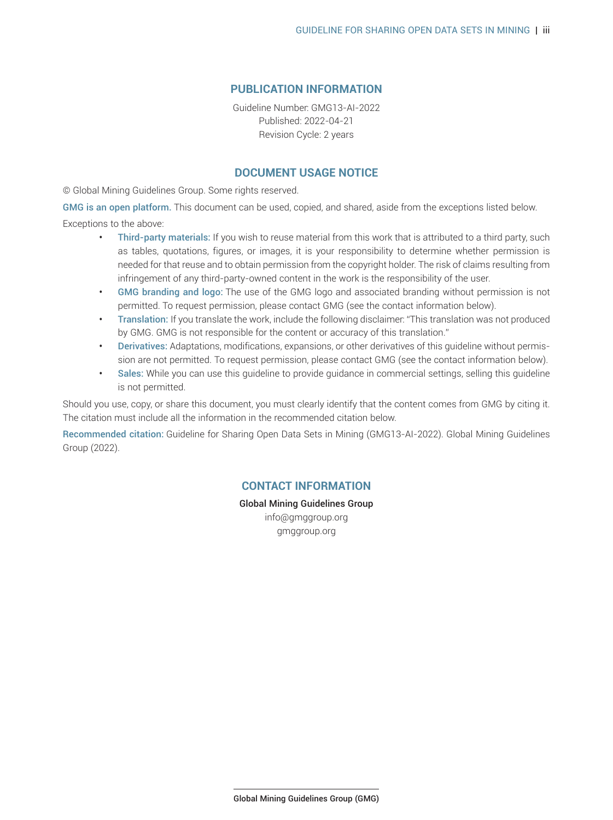# **PUBLICATION INFORMATION**

Guideline Number: GMG13-AI-2022 Published: 2022-04-21 Revision Cycle: 2 years

# **DOCUMENT USAGE NOTICE**

© Global Mining Guidelines Group. Some rights reserved.

GMG is an open platform. This document can be used, copied, and shared, aside from the exceptions listed below. Exceptions to the above:

- Third-party materials: If you wish to reuse material from this work that is attributed to a third party, such as tables, quotations, figures, or images, it is your responsibility to determine whether permission is needed for that reuse and to obtain permission from the copyright holder. The risk of claims resulting from infringement of any third-party-owned content in the work is the responsibility of the user.
- GMG branding and logo: The use of the GMG logo and associated branding without permission is not permitted. To request permission, please contact GMG (see the contact information below).
- Translation: If you translate the work, include the following disclaimer: "This translation was not produced by GMG. GMG is not responsible for the content or accuracy of this translation."
- Derivatives: Adaptations, modifications, expansions, or other derivatives of this guideline without permission are not permitted. To request permission, please contact GMG (see the contact information below).
- Sales: While you can use this guideline to provide guidance in commercial settings, selling this guideline is not permitted.

Should you use, copy, or share this document, you must clearly identify that the content comes from GMG by citing it. The citation must include all the information in the recommended citation below.

Recommended citation: Guideline for Sharing Open Data Sets in Mining (GMG13-AI-2022). Global Mining Guidelines Group (2022).

# **CONTACT INFORMATION**

Global Mining Guidelines Group info@gmggroup.org gmggroup.org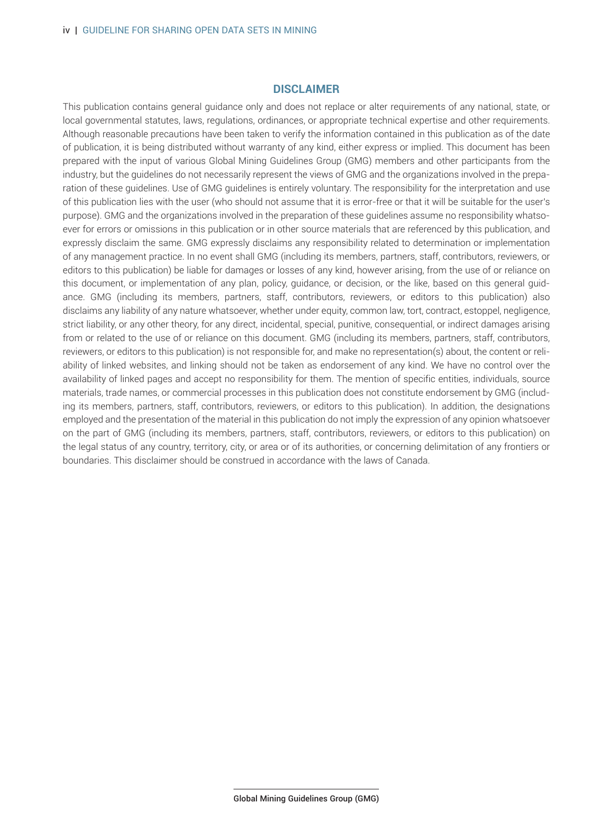# **DISCLAIMER**

This publication contains general guidance only and does not replace or alter requirements of any national, state, or local governmental statutes, laws, regulations, ordinances, or appropriate technical expertise and other requirements. Although reasonable precautions have been taken to verify the information contained in this publication as of the date of publication, it is being distributed without warranty of any kind, either express or implied. This document has been prepared with the input of various Global Mining Guidelines Group (GMG) members and other participants from the industry, but the guidelines do not necessarily represent the views of GMG and the organizations involved in the preparation of these guidelines. Use of GMG guidelines is entirely voluntary. The responsibility for the interpretation and use of this publication lies with the user (who should not assume that it is error-free or that it will be suitable for the user's purpose). GMG and the organizations involved in the preparation of these guidelines assume no responsibility whatsoever for errors or omissions in this publication or in other source materials that are referenced by this publication, and expressly disclaim the same. GMG expressly disclaims any responsibility related to determination or implementation of any management practice. In no event shall GMG (including its members, partners, staff, contributors, reviewers, or editors to this publication) be liable for damages or losses of any kind, however arising, from the use of or reliance on this document, or implementation of any plan, policy, guidance, or decision, or the like, based on this general guidance. GMG (including its members, partners, staff, contributors, reviewers, or editors to this publication) also disclaims any liability of any nature whatsoever, whether under equity, common law, tort, contract, estoppel, negligence, strict liability, or any other theory, for any direct, incidental, special, punitive, consequential, or indirect damages arising from or related to the use of or reliance on this document. GMG (including its members, partners, staff, contributors, reviewers, or editors to this publication) is not responsible for, and make no representation(s) about, the content or reliability of linked websites, and linking should not be taken as endorsement of any kind. We have no control over the availability of linked pages and accept no responsibility for them. The mention of specific entities, individuals, source materials, trade names, or commercial processes in this publication does not constitute endorsement by GMG (including its members, partners, staff, contributors, reviewers, or editors to this publication). In addition, the designations employed and the presentation of the material in this publication do not imply the expression of any opinion whatsoever on the part of GMG (including its members, partners, staff, contributors, reviewers, or editors to this publication) on the legal status of any country, territory, city, or area or of its authorities, or concerning delimitation of any frontiers or boundaries. This disclaimer should be construed in accordance with the laws of Canada.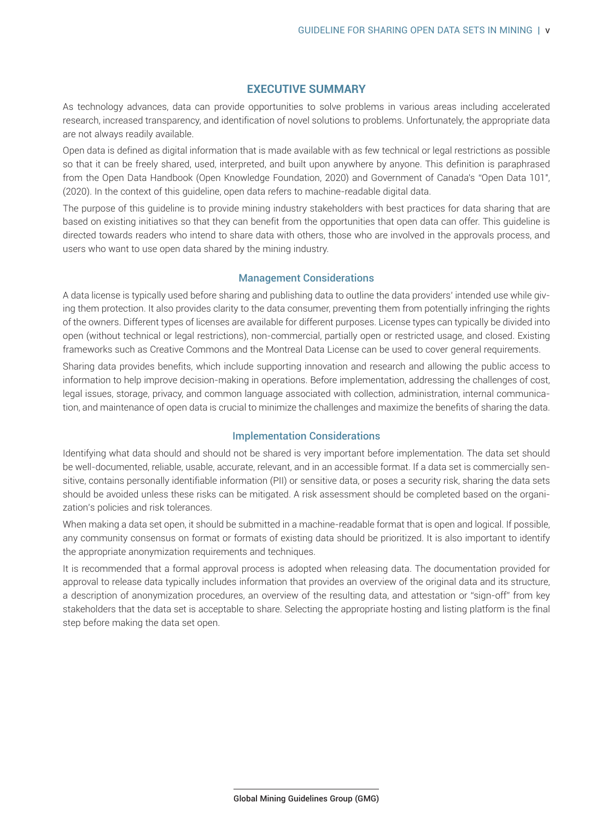# **EXECUTIVE SUMMARY**

<span id="page-5-0"></span>As technology advances, data can provide opportunities to solve problems in various areas including accelerated research, increased transparency, and identification of novel solutions to problems. Unfortunately, the appropriate data are not always readily available.

Open data is defined as digital information that is made available with as few technical or legal restrictions as possible so that it can be freely shared, used, interpreted, and built upon anywhere by anyone. This definition is paraphrased from the Open Data Handbook (Open Knowledge Foundation, 2020) and Government of Canada's "Open Data 101", (2020). In the context of this guideline, open data refers to machine-readable digital data.

The purpose of this guideline is to provide mining industry stakeholders with best practices for data sharing that are based on existing initiatives so that they can benefit from the opportunities that open data can offer. This guideline is directed towards readers who intend to share data with others, those who are involved in the approvals process, and users who want to use open data shared by the mining industry.

## Management Considerations

A data license is typically used before sharing and publishing data to outline the data providers' intended use while giving them protection. It also provides clarity to the data consumer, preventing them from potentially infringing the rights of the owners. Different types of licenses are available for different purposes. License types can typically be divided into open (without technical or legal restrictions), non-commercial, partially open or restricted usage, and closed. Existing frameworks such as Creative Commons and the Montreal Data License can be used to cover general requirements.

Sharing data provides benefits, which include supporting innovation and research and allowing the public access to information to help improve decision-making in operations. Before implementation, addressing the challenges of cost, legal issues, storage, privacy, and common language associated with collection, administration, internal communication, and maintenance of open data is crucial to minimize the challenges and maximize the benefits of sharing the data.

# Implementation Considerations

Identifying what data should and should not be shared is very important before implementation. The data set should be well-documented, reliable, usable, accurate, relevant, and in an accessible format. If a data set is commercially sensitive, contains personally identifiable information (PII) or sensitive data, or poses a security risk, sharing the data sets should be avoided unless these risks can be mitigated. A risk assessment should be completed based on the organization's policies and risk tolerances.

When making a data set open, it should be submitted in a machine-readable format that is open and logical. If possible, any community consensus on format or formats of existing data should be prioritized. It is also important to identify the appropriate anonymization requirements and techniques.

It is recommended that a formal approval process is adopted when releasing data. The documentation provided for approval to release data typically includes information that provides an overview of the original data and its structure, a description of anonymization procedures, an overview of the resulting data, and attestation or "sign-off" from key stakeholders that the data set is acceptable to share. Selecting the appropriate hosting and listing platform is the final step before making the data set open.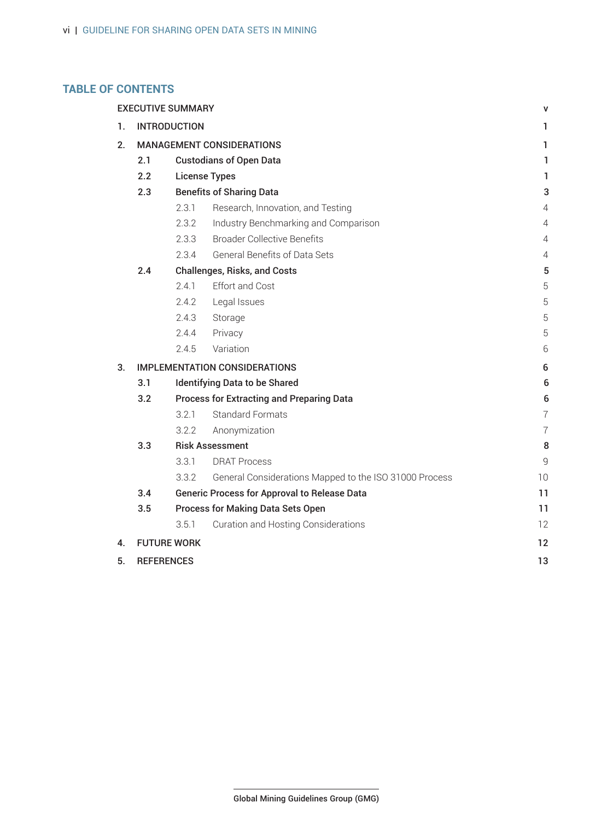# **TABLE OF CONTENTS**

|                | <b>EXECUTIVE SUMMARY</b><br>v              |                                                  |                                                        |                |  |  |  |
|----------------|--------------------------------------------|--------------------------------------------------|--------------------------------------------------------|----------------|--|--|--|
| 1.             | <b>INTRODUCTION</b><br>1                   |                                                  |                                                        |                |  |  |  |
| 2 <sup>2</sup> |                                            | <b>MANAGEMENT CONSIDERATIONS</b><br>1.           |                                                        |                |  |  |  |
|                | 2.1                                        | <b>Custodians of Open Data</b>                   |                                                        |                |  |  |  |
|                | 2.2                                        | <b>License Types</b>                             |                                                        |                |  |  |  |
|                | 2.3                                        | <b>Benefits of Sharing Data</b><br>3             |                                                        |                |  |  |  |
|                |                                            | 2.3.1                                            | Research, Innovation, and Testing                      | 4              |  |  |  |
|                |                                            | 2.3.2                                            | Industry Benchmarking and Comparison                   | 4              |  |  |  |
|                |                                            | 2.3.3                                            | <b>Broader Collective Benefits</b>                     | 4              |  |  |  |
|                |                                            | 2.3.4                                            | General Benefits of Data Sets                          | 4              |  |  |  |
|                | 2.4<br><b>Challenges, Risks, and Costs</b> |                                                  |                                                        |                |  |  |  |
|                |                                            | 2.4.1                                            | <b>Effort and Cost</b>                                 | 5              |  |  |  |
|                |                                            | 2.4.2                                            | Legal Issues                                           | 5              |  |  |  |
|                |                                            | 2.4.3                                            | Storage                                                | 5              |  |  |  |
|                |                                            | 2.4.4                                            | Privacy                                                | 5              |  |  |  |
|                |                                            | 2.4.5                                            | Variation                                              | 6              |  |  |  |
| 3.             |                                            | <b>IMPLEMENTATION CONSIDERATIONS</b><br>6        |                                                        |                |  |  |  |
|                | 3.1                                        | <b>Identifying Data to be Shared</b><br>6        |                                                        |                |  |  |  |
|                | 3.2                                        | <b>Process for Extracting and Preparing Data</b> |                                                        |                |  |  |  |
|                |                                            | 3.2.1                                            | <b>Standard Formats</b>                                | $\overline{7}$ |  |  |  |
|                |                                            | 3.2.2                                            | Anonymization                                          | $\overline{7}$ |  |  |  |
|                | 3.3                                        | <b>Risk Assessment</b>                           |                                                        |                |  |  |  |
|                |                                            | 3.3.1                                            | <b>DRAT Process</b>                                    | 9              |  |  |  |
|                |                                            | 3.3.2                                            | General Considerations Mapped to the ISO 31000 Process | 10             |  |  |  |
|                | 3.4                                        |                                                  | <b>Generic Process for Approval to Release Data</b>    | 11             |  |  |  |
|                | 3.5                                        |                                                  | <b>Process for Making Data Sets Open</b>               | 11             |  |  |  |
|                |                                            | 3.5.1                                            | <b>Curation and Hosting Considerations</b>             | 12             |  |  |  |
| 4.             | <b>FUTURE WORK</b><br>12                   |                                                  |                                                        |                |  |  |  |
| 5.             |                                            | <b>REFERENCES</b><br>13                          |                                                        |                |  |  |  |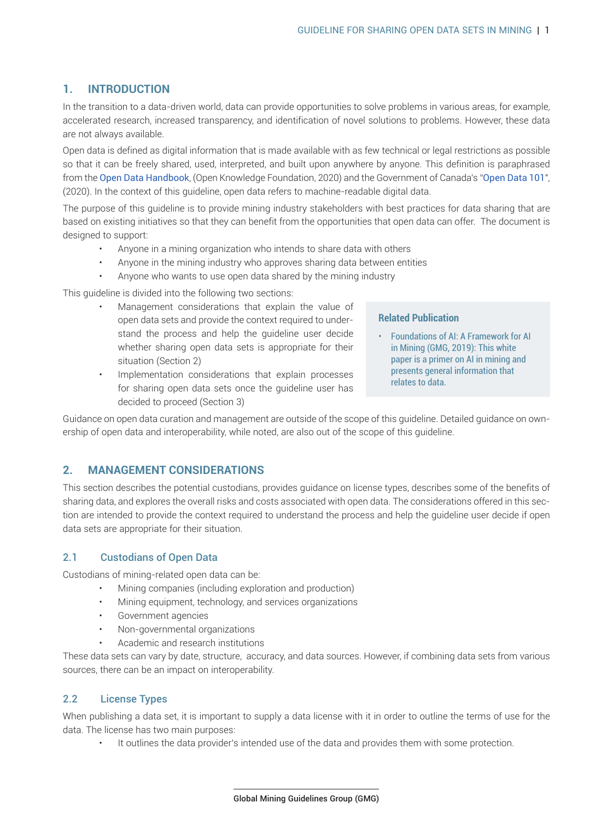# <span id="page-7-0"></span>**1. INTRODUCTION**

In the transition to a data-driven world, data can provide opportunities to solve problems in various areas, for example, accelerated research, increased transparency, and identification of novel solutions to problems. However, these data are not always available.

Open data is defined as digital information that is made available with as few technical or legal restrictions as possible so that i[t can be freely shared,](https://opendatahandbook.org/guide/en/what-is-open-data/) used, interpreted, and built upon anywhere by anyone. This definitio[n is paraphrased](https://open.canada.ca/en/open-data-principles ) from the Open Data Handbook, (Open Knowledge Foundation, 2020) and the Government of Canada's "Open Data 101", (2020). In the context of this guideline, open data refers to machine-readable digital data.

The purpose of this guideline is to provide mining industry stakeholders with best practices for data sharing that are based on existing initiatives so that they can benefit from the opportunities that open data can offer. The document is designed to support:

- Anyone in a mining organization who intends to share data with others
- Anyone in the mining industry who approves sharing data between entities
- Anyone who wants to use open data shared by the mining industry

This guideline is divided into the following two sections:

- Management considerations that explain the value of open data sets and provide the context required to understand the process and help the guideline user decide whether sharing open data sets is appropriate for their situation (Section 2)
- Implementation considerations that explain processes for sharing open data sets once the guideline user has decided to proceed (Section 3)

#### **Re[lated Publication](https://gmggroup.org/wp-content/uploads/2019/10/GMG_Foundations-of-AI-A-Framework-for-AI-in-Mining-2019-10-07_v01_r01.pdf)**

• [Foundatio](https://gmggroup.org/wp-content/uploads/2019/10/GMG_Foundations-of-AI-A-Framework-for-AI-in-Mining-2019-10-07_v01_r01.pdf)ns of AI: A Framework for AI in Mining (GMG, 2019): This white paper is a primer on AI in mining and presents general information that relates to data.

Guidance on open data curation and management are outside of the scope of this guideline. Detailed guidance on ownership of open data and interoperability, while noted, are also out of the scope of this guideline.

# **2. MANAGEMENT CONSIDERATIONS**

This section describes the potential custodians, provides guidance on license types, describes some of the benefits of sharing data, and explores the overall risks and costs associated with open data. The considerations offered in this section are intended to provide the context required to understand the process and help the guideline user decide if open data sets are appropriate for their situation.

## 2.1 Custodians of Open Data

Custodians of mining-related open data can be:

- Mining companies (including exploration and production)
- Mining equipment, technology, and services organizations
- Government agencies
- Non-governmental organizations
- Academic and research institutions

These data sets can vary by date, structure, accuracy, and data sources. However, if combining data sets from various sources, there can be an impact on interoperability.

#### 2.2 License Types

When publishing a data set, it is important to supply a data license with it in order to outline the terms of use for the data. The license has two main purposes:

It outlines the data provider's intended use of the data and provides them with some protection.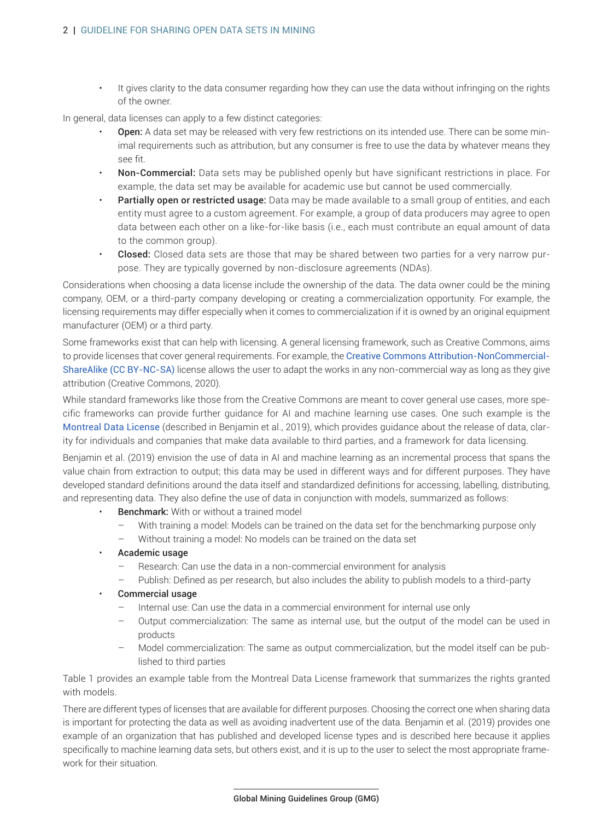• It gives clarity to the data consumer regarding how they can use the data without infringing on the rights of the owner.

In general, data licenses can apply to a few distinct categories:

- **Open:** A data set may be released with very few restrictions on its intended use. There can be some minimal requirements such as attribution, but any consumer is free to use the data by whatever means they see fit.
- Non-Commercial: Data sets may be published openly but have significant restrictions in place. For example, the data set may be available for academic use but cannot be used commercially.
- **Partially open or restricted usage:** Data may be made available to a small group of entities, and each entity must agree to a custom agreement. For example, a group of data producers may agree to open data between each other on a like-for-like basis (i.e., each must contribute an equal amount of data to the common group).
- Closed: Closed data sets are those that may be shared between two parties for a very narrow purpose. They are typically governed by non-disclosure agreements (NDAs).

Considerations when choosing a data license include the ownership of the data. The data owner could be the mining company, OEM, or a third-party company developing or creating a commercialization opportunity. For example, the licensing requirements may differ especially when it comes to commercialization if it is owned by an original equipment manufacturer (OEM) or a third party.

Some frameworks exist that can help with licensing. A general licen[sing framework, such as Creative Commons, aims](https://creativecommons.org/licenses/by-nc-sa/4.0/) [to provide licenses that cove](https://creativecommons.org/licenses/by-nc-sa/4.0/)r general requirements. For example, the Creative Commons Attribution-NonCommercial-ShareAlike (CC BY-NC-SA) license allows the user to adapt the works in any non-commercial way as long as they give attribution (Creative Commons, 2020).

While standard frameworks like those from the Creative Commons are meant to cover general use cases, more spe[cific frameworks can pr](https://arxiv.org/abs/1903.12262)ovide further guidance for AI and machine learning use cases. One such example is the Montreal Data License (described in Benjamin et al., 2019), which provides guidance about the release of data, clarity for individuals and companies that make data available to third parties, and a framework for data licensing.

Benjamin et al. (2019) envision the use of data in AI and machine learning as an incremental process that spans the value chain from extraction to output; this data may be used in different ways and for different purposes. They have developed standard definitions around the data itself and standardized definitions for accessing, labelling, distributing, and representing data. They also define the use of data in conjunction with models, summarized as follows:

- **Benchmark:** With or without a trained model
	- With training a model: Models can be trained on the data set for the benchmarking purpose only
	- Without training a model: No models can be trained on the data set
- Academic usage
	- Research: Can use the data in a non-commercial environment for analysis
	- Publish: Defined as per research, but also includes the ability to publish models to a third-party
- Commercial usage
	- Internal use: Can use the data in a commercial environment for internal use only
	- Output commercialization: The same as internal use, but the output of the model can be used in products
	- Model commercialization: The same as output commercialization, but the model itself can be published to third parties

Table 1 provides an example table from the Montreal Data License framework that summarizes the rights granted with models.

There are different types of licenses that are available for different purposes. Choosing the correct one when sharing data is important for protecting the data as well as avoiding inadvertent use of the data. Benjamin et al. (2019) provides one example of an organization that has published and developed license types and is described here because it applies specifically to machine learning data sets, but others exist, and it is up to the user to select the most appropriate framework for their situation.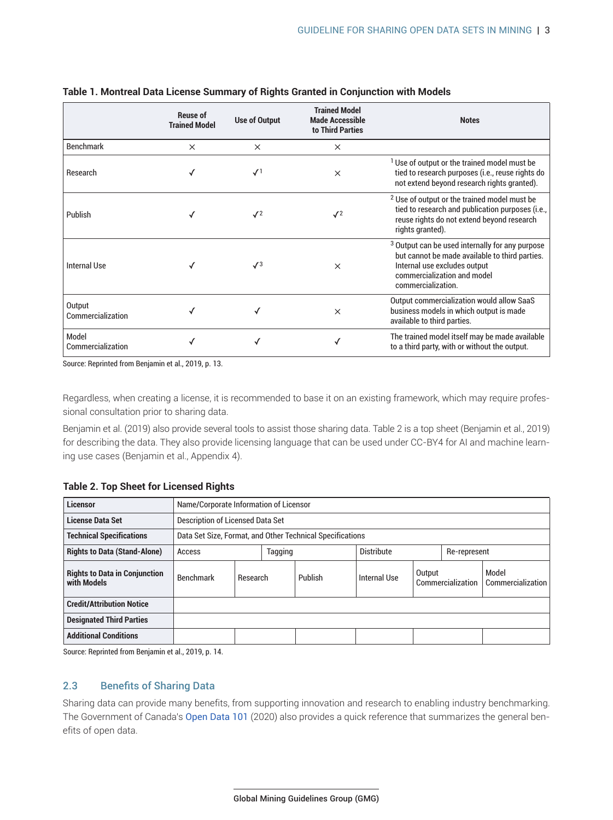|                             | <b>Reuse of</b><br><b>Trained Model</b> | <b>Use of Output</b> | <b>Trained Model</b><br><b>Made Accessible</b><br>to Third Parties | <b>Notes</b>                                                                                                                                                                                      |
|-----------------------------|-----------------------------------------|----------------------|--------------------------------------------------------------------|---------------------------------------------------------------------------------------------------------------------------------------------------------------------------------------------------|
| <b>Benchmark</b>            | $\times$                                | $\times$             | $\times$                                                           |                                                                                                                                                                                                   |
| Research                    |                                         | $\mathcal{N}^1$      | $\times$                                                           | <sup>1</sup> Use of output or the trained model must be<br>tied to research purposes (i.e., reuse rights do<br>not extend beyond research rights granted).                                        |
| Publish                     |                                         | $\mathcal{J}^2$      | $\sqrt{2}$                                                         | <sup>2</sup> Use of output or the trained model must be<br>tied to research and publication purposes (i.e.,<br>reuse rights do not extend beyond research<br>rights granted).                     |
| <b>Internal Use</b>         |                                         | $\sqrt{3}$           | $\times$                                                           | <sup>3</sup> Output can be used internally for any purpose<br>but cannot be made available to third parties.<br>Internal use excludes output<br>commercialization and model<br>commercialization. |
| Output<br>Commercialization |                                         |                      | $\times$                                                           | Output commercialization would allow SaaS<br>business models in which output is made<br>available to third parties.                                                                               |
| Model<br>Commercialization  |                                         |                      |                                                                    | The trained model itself may be made available<br>to a third party, with or without the output.                                                                                                   |

#### <span id="page-9-0"></span>**Table 1. Montreal Data License Summary of Rights Granted in Conjunction with Models**

Source: Reprinted from Benjamin et al., 2019, p. 13.

Regardless, when creating a license, it is recommended to base it on an existing framework, which may require professional consultation prior to sharing data.

Benjamin et al. (2019) also provide several tools to assist those sharing data. Table 2 is a top sheet (Benjamin et al., 2019) for describing the data. They also provide licensing language that can be used under CC-BY4 for AI and machine learning use cases (Benjamin et al., Appendix 4).

#### **Table 2. Top Sheet for Licensed Rights**

| <b>Licensor</b>                                     | Name/Corporate Information of Licensor                    |          |         |         |                   |                             |              |                            |
|-----------------------------------------------------|-----------------------------------------------------------|----------|---------|---------|-------------------|-----------------------------|--------------|----------------------------|
| <b>License Data Set</b>                             | <b>Description of Licensed Data Set</b>                   |          |         |         |                   |                             |              |                            |
| <b>Technical Specifications</b>                     | Data Set Size, Format, and Other Technical Specifications |          |         |         |                   |                             |              |                            |
| <b>Rights to Data (Stand-Alone)</b><br>Access       |                                                           |          | Tagging |         | <b>Distribute</b> |                             | Re-represent |                            |
| <b>Rights to Data in Conjunction</b><br>with Models | <b>Benchmark</b>                                          | Research |         | Publish | Internal Use      | Output<br>Commercialization |              | Model<br>Commercialization |
| <b>Credit/Attribution Notice</b>                    |                                                           |          |         |         |                   |                             |              |                            |
| <b>Designated Third Parties</b>                     |                                                           |          |         |         |                   |                             |              |                            |
| <b>Additional Conditions</b>                        |                                                           |          |         |         |                   |                             |              |                            |

Source: Reprinted from Benjamin et al., 2019, p. 14.

#### 2.3 Benefits of Sharing Data

Sharing data can provide ma[ny benefits, from](https://open.canada.ca/en/open-data-principles) supporting innovation and research to enabling industry benchmarking. The Government of Canada's Open Data 101 (2020) also provides a quick reference that summarizes the general benefits of open data.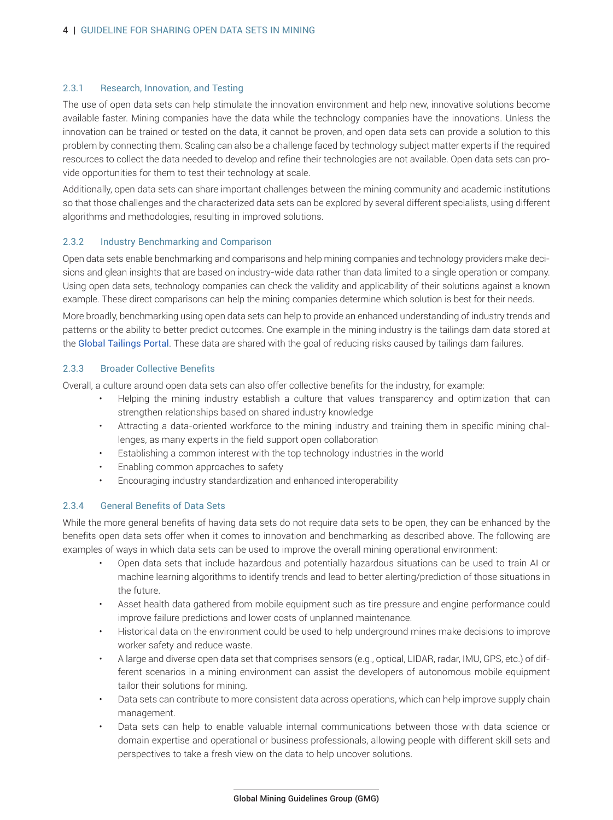#### <span id="page-10-0"></span>2.3.1 Research, Innovation, and Testing

The use of open data sets can help stimulate the innovation environment and help new, innovative solutions become available faster. Mining companies have the data while the technology companies have the innovations. Unless the innovation can be trained or tested on the data, it cannot be proven, and open data sets can provide a solution to this problem by connecting them. Scaling can also be a challenge faced by technology subject matter experts if the required resources to collect the data needed to develop and refine their technologies are not available. Open data sets can provide opportunities for them to test their technology at scale.

Additionally, open data sets can share important challenges between the mining community and academic institutions so that those challenges and the characterized data sets can be explored by several different specialists, using different algorithms and methodologies, resulting in improved solutions.

#### 2.3.2 Industry Benchmarking and Comparison

Open data sets enable benchmarking and comparisons and help mining companies and technology providers make decisions and glean insights that are based on industry-wide data rather than data limited to a single operation or company. Using open data sets, technology companies can check the validity and applicability of their solutions against a known example. These direct comparisons can help the mining companies determine which solution is best for their needs.

More broadly, benchmarking using open data sets can help to provide an enhanced understanding of industry trends and pat[terns or the ability to be](https://tailing.grida.no/about)tter predict outcomes. One example in the mining industry is the tailings dam data stored at the Global Tailings Portal. These data are shared with the goal of reducing risks caused by tailings dam failures.

#### 2.3.3 Broader Collective Benefits

Overall, a culture around open data sets can also offer collective benefits for the industry, for example:

- Helping the mining industry establish a culture that values transparency and optimization that can strengthen relationships based on shared industry knowledge
- Attracting a data-oriented workforce to the mining industry and training them in specific mining challenges, as many experts in the field support open collaboration
- Establishing a common interest with the top technology industries in the world
- Enabling common approaches to safety
- Encouraging industry standardization and enhanced interoperability

#### 2.3.4 General Benefits of Data Sets

While the more general benefits of having data sets do not require data sets to be open, they can be enhanced by the benefits open data sets offer when it comes to innovation and benchmarking as described above. The following are examples of ways in which data sets can be used to improve the overall mining operational environment:

- Open data sets that include hazardous and potentially hazardous situations can be used to train AI or machine learning algorithms to identify trends and lead to better alerting/prediction of those situations in the future.
- Asset health data gathered from mobile equipment such as tire pressure and engine performance could improve failure predictions and lower costs of unplanned maintenance.
- Historical data on the environment could be used to help underground mines make decisions to improve worker safety and reduce waste.
- A large and diverse open data set that comprises sensors (e.g., optical, LIDAR, radar, IMU, GPS, etc.) of different scenarios in a mining environment can assist the developers of autonomous mobile equipment tailor their solutions for mining.
- Data sets can contribute to more consistent data across operations, which can help improve supply chain management.
- Data sets can help to enable valuable internal communications between those with data science or domain expertise and operational or business professionals, allowing people with different skill sets and perspectives to take a fresh view on the data to help uncover solutions.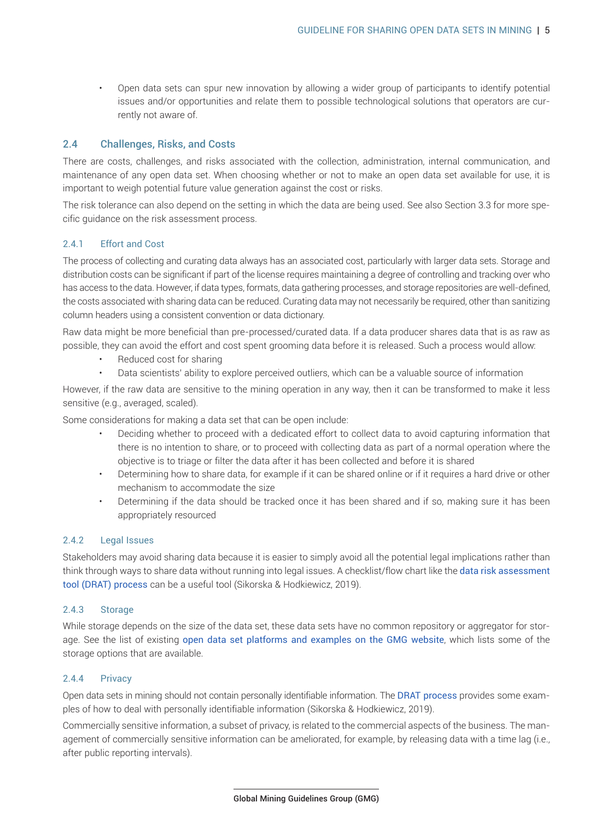<span id="page-11-0"></span>• Open data sets can spur new innovation by allowing a wider group of participants to identify potential issues and/or opportunities and relate them to possible technological solutions that operators are currently not aware of.

#### 2.4 Challenges, Risks, and Costs

There are costs, challenges, and risks associated with the collection, administration, internal communication, and maintenance of any open data set. When choosing whether or not to make an open data set available for use, it is important to weigh potential future value generation against the cost or risks.

The risk tolerance can also depend on the setting in which the data are being used. See also Section 3.3 for more specific guidance on the risk assessment process.

# 2.4.1 Effort and Cost

The process of collecting and curating data always has an associated cost, particularly with larger data sets. Storage and distribution costs can be significant if part of the license requires maintaining a degree of controlling and tracking over who has access to the data. However, if data types, formats, data gathering processes, and storage repositories are well-defined, the costs associated with sharing data can be reduced. Curating data may not necessarily be required, other than sanitizing column headers using a consistent convention or data dictionary.

Raw data might be more beneficial than pre-processed/curated data. If a data producer shares data that is as raw as possible, they can avoid the effort and cost spent grooming data before it is released. Such a process would allow:

- Reduced cost for sharing
- Data scientists' ability to explore perceived outliers, which can be a valuable source of information

However, if the raw data are sensitive to the mining operation in any way, then it can be transformed to make it less sensitive (e.g., averaged, scaled).

Some considerations for making a data set that can be open include:

- Deciding whether to proceed with a dedicated effort to collect data to avoid capturing information that there is no intention to share, or to proceed with collecting data as part of a normal operation where the objective is to triage or filter the data after it has been collected and before it is shared
- Determining how to share data, for example if it can be shared online or if it requires a hard drive or other mechanism to accommodate the size
- Determining if the data should be tracked once it has been shared and if so, making sure it has been appropriately resourced

#### 2.4.2 Legal Issues

Stakeholders may avoid sharing data because it is easier to simply avoid all the potential legal i[mplications rather than](https://drat-process.com/home) [think through ways to](https://drat-process.com/home) share data without running into legal issues. A checklist/flow chart like the data risk assessment tool (DRAT) process can be a useful tool (Sikorska & Hodkiewicz, 2019).

#### 2.4.3 Storage

While storage depends on t[he size of the data set, these data sets have no common reposito](https://gmggroup.org/open-data-set-platforms/)ry or aggregator for storage. See the list of existing open data set platforms and examples on the GMG website, which lists some of the storage options that are available.

#### 2.4.4 Privacy

Open data sets in mining should not contain personally identifiable information. The DRAT process provides some examples of how to deal with personally identifiable information (Sikorska & Hodkiewicz, 2019).

Commercially sensitive information, a subset of privacy, is related to the commercial aspects of the business. The management of commercially sensitive information can be ameliorated, for example, by releasing data with a time lag (i.e., after public reporting intervals).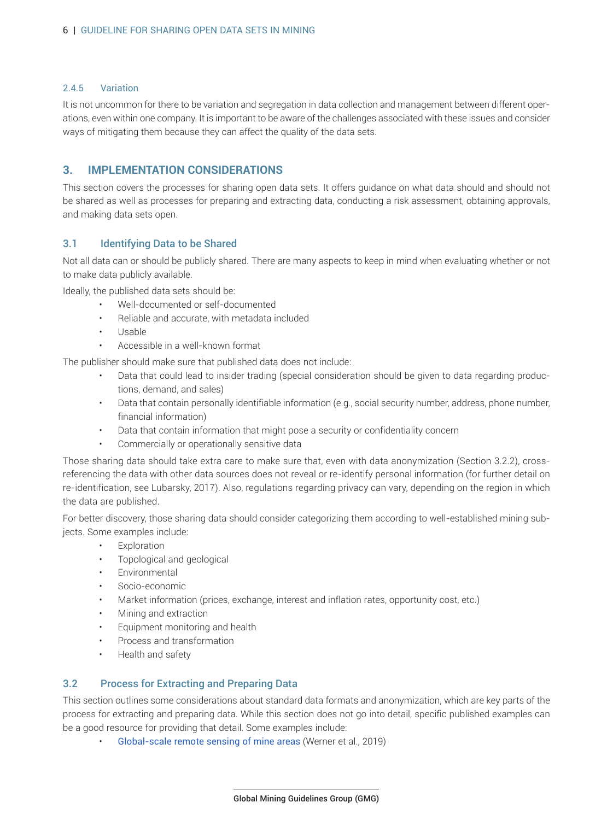#### <span id="page-12-0"></span>2.4.5 Variation

It is not uncommon for there to be variation and segregation in data collection and management between different operations, even within one company. It is important to be aware of the challenges associated with these issues and consider ways of mitigating them because they can affect the quality of the data sets.

# **3. IMPLEMENTATION CONSIDERATIONS**

This section covers the processes for sharing open data sets. It offers guidance on what data should and should not be shared as well as processes for preparing and extracting data, conducting a risk assessment, obtaining approvals, and making data sets open.

# 3.1 Identifying Data to be Shared

Not all data can or should be publicly shared. There are many aspects to keep in mind when evaluating whether or not to make data publicly available.

Ideally, the published data sets should be:

- Well-documented or self-documented
- Reliable and accurate, with metadata included
- Usable
- Accessible in a well-known format

The publisher should make sure that published data does not include:

- Data that could lead to insider trading (special consideration should be given to data regarding productions, demand, and sales)
- Data that contain personally identifiable information (e.g., social security number, address, phone number, financial information)
- Data that contain information that might pose a security or confidentiality concern
- Commercially or operationally sensitive data

Those sharing data should take extra care to make sure that, even with data anonymization (Section 3.2.2), crossreferencing the data with other data sources does not reveal or re-identify personal information (for further detail on re-identification, see Lubarsky, 2017). Also, regulations regarding privacy can vary, depending on the region in which the data are published.

For better discovery, those sharing data should consider categorizing them according to well-established mining subjects. Some examples include:

- **Exploration**
- Topological and geological
- **Environmental**
- Socio-economic
- Market information (prices, exchange, interest and inflation rates, opportunity cost, etc.)
- Mining and extraction
- Equipment monitoring and health
- Process and transformation
- Health and safety

#### 3.2 Process for Extracting and Preparing Data

This section outlines some considerations about standard data formats and anonymization, which are key parts of the process for extracting and preparing data. While this section does not go into detail, specific published examples can be a good re[source for providing that detail. Some exampl](https://doi.org/10.1016/j.gloenvcha.2019.102007)es include:

• Global-scale remote sensing of mine areas (Werner et al., 2019)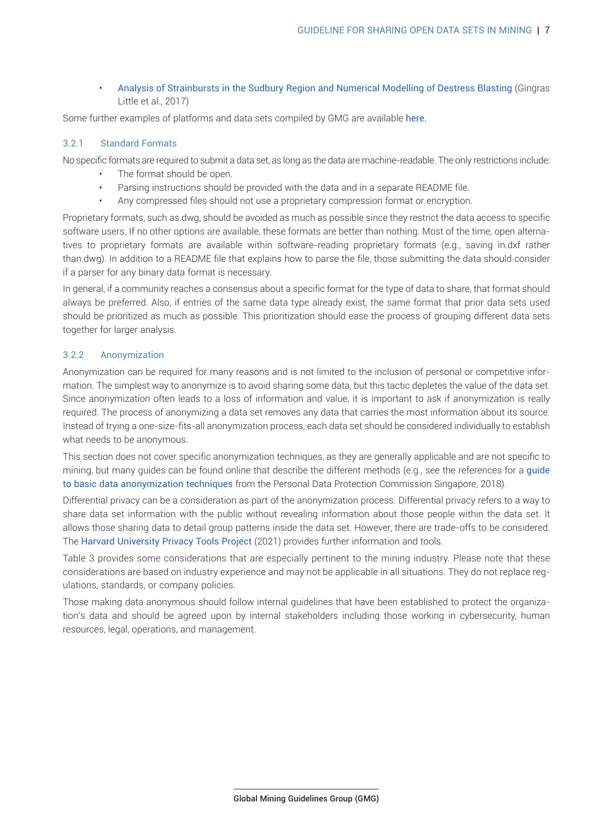<span id="page-13-0"></span>• Analysis of Strainbursts in the Sudbury Region and Numerical Modelling of Destress Blasting (Gingras Little et al., 2017)

Some further examples of platforms and data sets compiled by GMG are available here.

#### 3.2.1 Standard Formats

No specific formats are required to submit a data set, as long as the data are machine-readable. The only restrictions include:

- The format should be open.
- Parsing instructions should be provided with the data and in a separate README file.
- Any compressed files should not use a proprietary compression format or encryption.

Proprietary formats, such as.dwg, should be avoided as much as possible since they restrict the data access to specific software users. If no other options are available, these formats are better than nothing. Most of the time, open alternatives to proprietary formats are available within software-reading proprietary formats (e.g., saving in.dxf rather than.dwg). In addition to a README file that explains how to parse the file, those submitting the data should consider if a parser for any binary data format is necessary.

In general, if a community reaches a consensus about a specific format for the type of data to share, that format should always be preferred. Also, if entries of the same data type already exist, the same format that prior data sets used should be prioritized as much as possible. This prioritization should ease the process of grouping different data sets together for larger analysis.

# 3.2.2 Anonymization

Anonymization can be required for many reasons and is not limited to the inclusion of personal or competitive information. The simplest way to anonymize is to avoid sharing some data, but this tactic depletes the value of the data set. Since anonymization often leads to a loss of information and value, it is important to ask if anonymization is really required. The process of anonymizing a data set removes any data that carries the most information about its source. Instead of trying a one-size-fits-all anonymization process, each data set should be considered individually to establish what needs to be anonymous.

This section does not cover specific anonymization techniques, as they are generally applicable and are not spe[cific to](https://www.pdpc.gov.sg/help-and-resources/2018/01/guide-to-basic-data-anonymisation-techniques) [mining, but many guides can be found on](https://www.pdpc.gov.sg/help-and-resources/2018/01/guide-to-basic-data-anonymisation-techniques)line that describe the different methods (e.g., see the references for a guide to basic data anonymization techniques from the Personal Data Protection Commission Singapore, 2018).

Differential privacy can be a consideration as part of the anonymization process. Differential privacy refers to a way to share data set information with the public without revealing information about those people within the data set. It allo[ws those sharing data to detail group patte](https://privacytools.seas.harvard.edu/differential-privacy)rns inside the data set. However, there are trade-offs to be considered. The Harvard University Privacy Tools Project (2021) provides further information and tools.

Table 3 provides some considerations that are especially pertinent to the mining industry. Please note that these considerations are based on industry experience and may not be applicable in all situations. They do not replace regulations, standards, or company policies.

Those making data anonymous should follow internal guidelines that have been established to protect the organization's data and should be agreed upon by internal stakeholders including those working in cybersecurity, human resources, legal, operations, and management.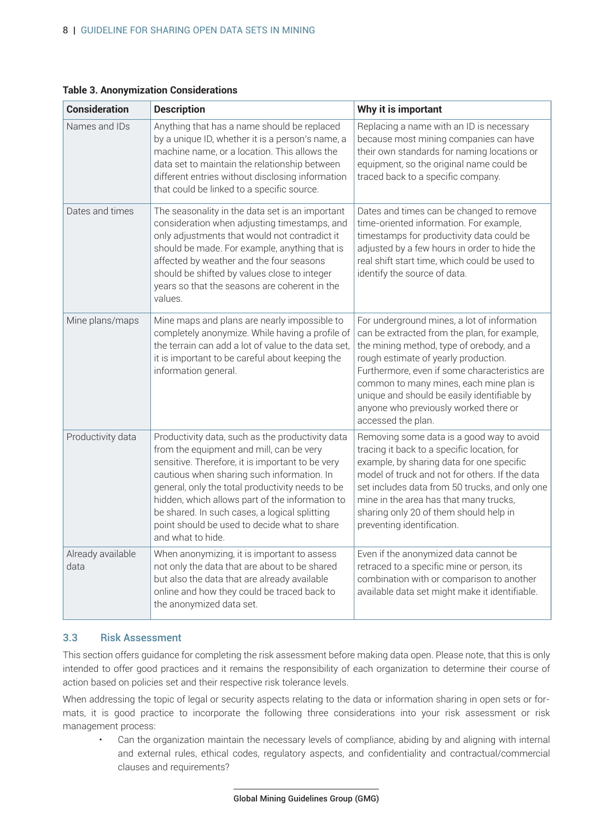| <b>Consideration</b>      | <b>Description</b>                                                                                                                                                                                                                                                                                                                                                                                                          | Why it is important                                                                                                                                                                                                                                                                                                                                                                        |
|---------------------------|-----------------------------------------------------------------------------------------------------------------------------------------------------------------------------------------------------------------------------------------------------------------------------------------------------------------------------------------------------------------------------------------------------------------------------|--------------------------------------------------------------------------------------------------------------------------------------------------------------------------------------------------------------------------------------------------------------------------------------------------------------------------------------------------------------------------------------------|
| Names and IDs             | Anything that has a name should be replaced<br>by a unique ID, whether it is a person's name, a<br>machine name, or a location. This allows the<br>data set to maintain the relationship between<br>different entries without disclosing information<br>that could be linked to a specific source.                                                                                                                          | Replacing a name with an ID is necessary<br>because most mining companies can have<br>their own standards for naming locations or<br>equipment, so the original name could be<br>traced back to a specific company.                                                                                                                                                                        |
| Dates and times           | The seasonality in the data set is an important<br>consideration when adjusting timestamps, and<br>only adjustments that would not contradict it<br>should be made. For example, anything that is<br>affected by weather and the four seasons<br>should be shifted by values close to integer<br>years so that the seasons are coherent in the<br>values.                                                                   | Dates and times can be changed to remove<br>time-oriented information. For example,<br>timestamps for productivity data could be<br>adjusted by a few hours in order to hide the<br>real shift start time, which could be used to<br>identify the source of data.                                                                                                                          |
| Mine plans/maps           | Mine maps and plans are nearly impossible to<br>completely anonymize. While having a profile of<br>the terrain can add a lot of value to the data set,<br>it is important to be careful about keeping the<br>information general.                                                                                                                                                                                           | For underground mines, a lot of information<br>can be extracted from the plan, for example,<br>the mining method, type of orebody, and a<br>rough estimate of yearly production.<br>Furthermore, even if some characteristics are<br>common to many mines, each mine plan is<br>unique and should be easily identifiable by<br>anyone who previously worked there or<br>accessed the plan. |
| Productivity data         | Productivity data, such as the productivity data<br>from the equipment and mill, can be very<br>sensitive. Therefore, it is important to be very<br>cautious when sharing such information. In<br>general, only the total productivity needs to be<br>hidden, which allows part of the information to<br>be shared. In such cases, a logical splitting<br>point should be used to decide what to share<br>and what to hide. | Removing some data is a good way to avoid<br>tracing it back to a specific location, for<br>example, by sharing data for one specific<br>model of truck and not for others. If the data<br>set includes data from 50 trucks, and only one<br>mine in the area has that many trucks,<br>sharing only 20 of them should help in<br>preventing identification.                                |
| Already available<br>data | When anonymizing, it is important to assess<br>not only the data that are about to be shared<br>but also the data that are already available<br>online and how they could be traced back to<br>the anonymized data set.                                                                                                                                                                                                     | Even if the anonymized data cannot be<br>retraced to a specific mine or person, its<br>combination with or comparison to another<br>available data set might make it identifiable.                                                                                                                                                                                                         |

## <span id="page-14-0"></span>**Table 3. Anonymization Considerations**

# 3.3 Risk Assessment

This section offers guidance for completing the risk assessment before making data open. Please note, that this is only intended to offer good practices and it remains the responsibility of each organization to determine their course of action based on policies set and their respective risk tolerance levels.

When addressing the topic of legal or security aspects relating to the data or information sharing in open sets or formats, it is good practice to incorporate the following three considerations into your risk assessment or risk management process:

• Can the organization maintain the necessary levels of compliance, abiding by and aligning with internal and external rules, ethical codes, regulatory aspects, and confidentiality and contractual/commercial clauses and requirements?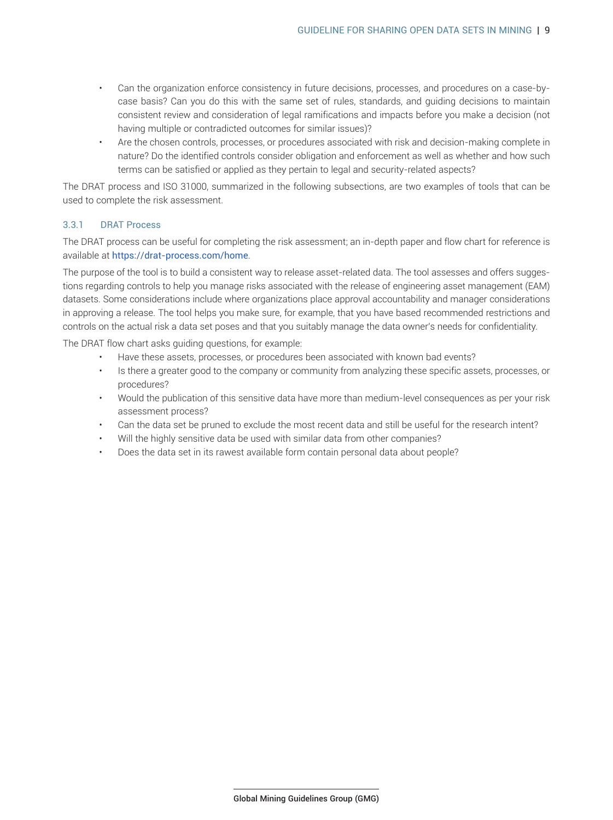- <span id="page-15-0"></span>• Can the organization enforce consistency in future decisions, processes, and procedures on a case-bycase basis? Can you do this with the same set of rules, standards, and guiding decisions to maintain consistent review and consideration of legal ramifications and impacts before you make a decision (not having multiple or contradicted outcomes for similar issues)?
- Are the chosen controls, processes, or procedures associated with risk and decision-making complete in nature? Do the identified controls consider obligation and enforcement as well as whether and how such terms can be satisfied or applied as they pertain to legal and security-related aspects?

The DRAT process and ISO 31000, summarized in the following subsections, are two examples of tools that can be used to complete the risk assessment.

#### 3.3.1 DRAT Process

The DRAT [process can be useful for completi](https://drat-process.com/home)ng the risk assessment; an in-depth paper and flow chart for reference is available at https://drat-process.com/home.

The purpose of the tool is to build a consistent way to release asset-related data. The tool assesses and offers suggestions regarding controls to help you manage risks associated with the release of engineering asset management (EAM) datasets. Some considerations include where organizations place approval accountability and manager considerations in approving a release. The tool helps you make sure, for example, that you have based recommended restrictions and controls on the actual risk a data set poses and that you suitably manage the data owner's needs for confidentiality.

The DRAT flow chart asks guiding questions, for example:

- Have these assets, processes, or procedures been associated with known bad events?
- Is there a greater good to the company or community from analyzing these specific assets, processes, or procedures?
- Would the publication of this sensitive data have more than medium-level consequences as per your risk assessment process?
- Can the data set be pruned to exclude the most recent data and still be useful for the research intent?
- Will the highly sensitive data be used with similar data from other companies?
- Does the data set in its rawest available form contain personal data about people?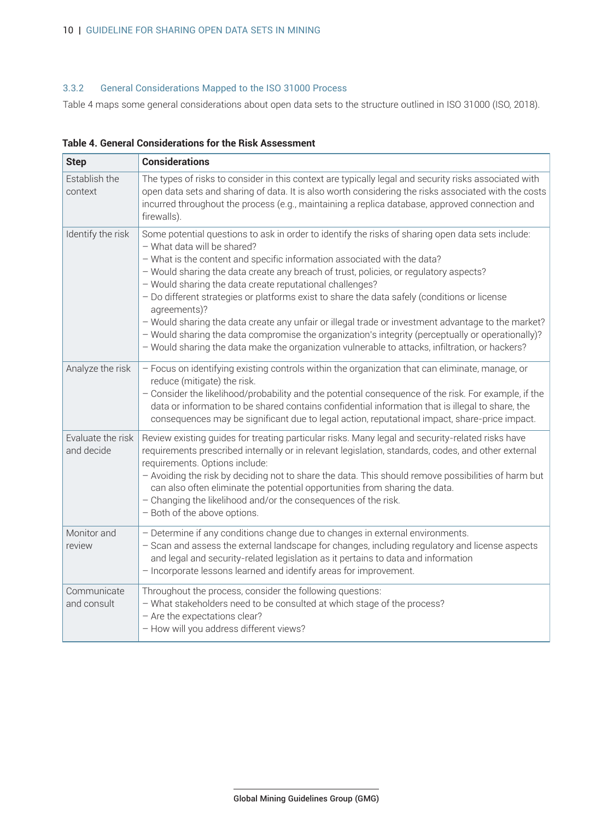# <span id="page-16-0"></span>3.3.2 General Considerations Mapped to the ISO 31000 Process

Table 4 maps some general considerations about open data sets to the structure outlined in ISO 31000 (ISO, 2018).

| <b>Step</b>                     | <b>Considerations</b>                                                                                                                                                                                                                                                                                                                                                                                                                                                                                                                                                                                                                                                                                                                                                                           |
|---------------------------------|-------------------------------------------------------------------------------------------------------------------------------------------------------------------------------------------------------------------------------------------------------------------------------------------------------------------------------------------------------------------------------------------------------------------------------------------------------------------------------------------------------------------------------------------------------------------------------------------------------------------------------------------------------------------------------------------------------------------------------------------------------------------------------------------------|
| Establish the<br>context        | The types of risks to consider in this context are typically legal and security risks associated with<br>open data sets and sharing of data. It is also worth considering the risks associated with the costs<br>incurred throughout the process (e.g., maintaining a replica database, approved connection and<br>firewalls).                                                                                                                                                                                                                                                                                                                                                                                                                                                                  |
| Identify the risk               | Some potential questions to ask in order to identify the risks of sharing open data sets include:<br>- What data will be shared?<br>- What is the content and specific information associated with the data?<br>- Would sharing the data create any breach of trust, policies, or regulatory aspects?<br>- Would sharing the data create reputational challenges?<br>- Do different strategies or platforms exist to share the data safely (conditions or license<br>agreements)?<br>- Would sharing the data create any unfair or illegal trade or investment advantage to the market?<br>- Would sharing the data compromise the organization's integrity (perceptually or operationally)?<br>- Would sharing the data make the organization vulnerable to attacks, infiltration, or hackers? |
| Analyze the risk                | - Focus on identifying existing controls within the organization that can eliminate, manage, or<br>reduce (mitigate) the risk.<br>- Consider the likelihood/probability and the potential consequence of the risk. For example, if the<br>data or information to be shared contains confidential information that is illegal to share, the<br>consequences may be significant due to legal action, reputational impact, share-price impact.                                                                                                                                                                                                                                                                                                                                                     |
| Evaluate the risk<br>and decide | Review existing guides for treating particular risks. Many legal and security-related risks have<br>requirements prescribed internally or in relevant legislation, standards, codes, and other external<br>requirements. Options include:<br>- Avoiding the risk by deciding not to share the data. This should remove possibilities of harm but<br>can also often eliminate the potential opportunities from sharing the data.<br>- Changing the likelihood and/or the consequences of the risk.<br>- Both of the above options.                                                                                                                                                                                                                                                               |
| Monitor and<br>review           | - Determine if any conditions change due to changes in external environments.<br>- Scan and assess the external landscape for changes, including regulatory and license aspects<br>and legal and security-related legislation as it pertains to data and information<br>- Incorporate lessons learned and identify areas for improvement.                                                                                                                                                                                                                                                                                                                                                                                                                                                       |
| Communicate<br>and consult      | Throughout the process, consider the following questions:<br>- What stakeholders need to be consulted at which stage of the process?<br>- Are the expectations clear?<br>- How will you address different views?                                                                                                                                                                                                                                                                                                                                                                                                                                                                                                                                                                                |

**Table 4. General Considerations for the Risk Assessment**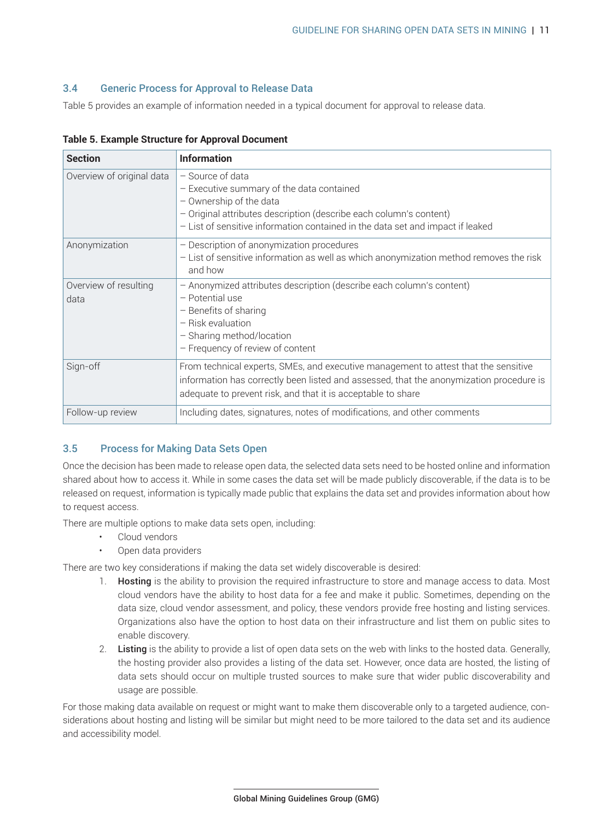## <span id="page-17-0"></span>3.4 Generic Process for Approval to Release Data

Table 5 provides an example of information needed in a typical document for approval to release data.

| <b>Section</b>                | <b>Information</b>                                                                                                                                                                                                                               |
|-------------------------------|--------------------------------------------------------------------------------------------------------------------------------------------------------------------------------------------------------------------------------------------------|
| Overview of original data     | - Source of data<br>- Executive summary of the data contained<br>- Ownership of the data<br>- Original attributes description (describe each column's content)<br>- List of sensitive information contained in the data set and impact if leaked |
| Anonymization                 | - Description of anonymization procedures<br>- List of sensitive information as well as which anonymization method removes the risk<br>and how                                                                                                   |
| Overview of resulting<br>data | - Anonymized attributes description (describe each column's content)<br>- Potential use<br>- Benefits of sharing<br>- Risk evaluation<br>- Sharing method/location<br>- Frequency of review of content                                           |
| Sign-off                      | From technical experts, SMEs, and executive management to attest that the sensitive<br>information has correctly been listed and assessed, that the anonymization procedure is<br>adequate to prevent risk, and that it is acceptable to share   |
| Follow-up review              | Including dates, signatures, notes of modifications, and other comments                                                                                                                                                                          |

#### **Table 5. Example Structure for Approval Document**

# 3.5 Process for Making Data Sets Open

Once the decision has been made to release open data, the selected data sets need to be hosted online and information shared about how to access it. While in some cases the data set will be made publicly discoverable, if the data is to be released on request, information is typically made public that explains the data set and provides information about how to request access.

There are multiple options to make data sets open, including:

- Cloud vendors
- Open data providers

There are two key considerations if making the data set widely discoverable is desired:

- 1. Hosting is the ability to provision the required infrastructure to store and manage access to data. Most cloud vendors have the ability to host data for a fee and make it public. Sometimes, depending on the data size, cloud vendor assessment, and policy, these vendors provide free hosting and listing services. Organizations also have the option to host data on their infrastructure and list them on public sites to enable discovery.
- 2. Listing is the ability to provide a list of open data sets on the web with links to the hosted data. Generally, the hosting provider also provides a listing of the data set. However, once data are hosted, the listing of data sets should occur on multiple trusted sources to make sure that wider public discoverability and usage are possible.

For those making data available on request or might want to make them discoverable only to a targeted audience, considerations about hosting and listing will be similar but might need to be more tailored to the data set and its audience and accessibility model.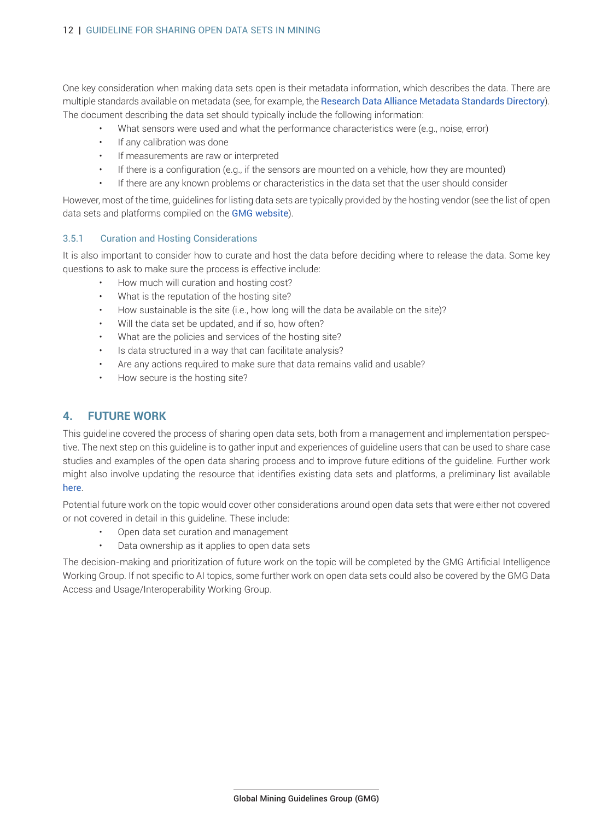<span id="page-18-0"></span>One key consideration when making data sets open is their m[etadata information, which describes the data. There are](https://rd-alliance.github.io/metadata-directory/standards/) multiple standards available on metadata (see, for example, the Research Data Alliance Metadata Standards Directory). The document describing the data set should typically include the following information:

- What sensors were used and what the performance characteristics were (e.g., noise, error)
- If any calibration was done
- If measurements are raw or interpreted
- If there is a configuration (e.g., if the sensors are mounted on a vehicle, how they are mounted)
- If there are any known problems or characteristics in the data set that the user should consider

However, most of the time, guidelines for l[isting data sets](https://gmggroup.org/open-data-set-platforms/ ) are typically provided by the hosting vendor (see the list of open data sets and platforms compiled on the GMG website).

#### 3.5.1 Curation and Hosting Considerations

It is also important to consider how to curate and host the data before deciding where to release the data. Some key questions to ask to make sure the process is effective include:

- How much will curation and hosting cost?
- What is the reputation of the hosting site?
- How sustainable is the site (i.e., how long will the data be available on the site)?
- Will the data set be updated, and if so, how often?
- What are the policies and services of the hosting site?
- Is data structured in a way that can facilitate analysis?
- Are any actions required to make sure that data remains valid and usable?
- How secure is the hosting site?

# **4. FUTURE WORK**

This guideline covered the process of sharing open data sets, both from a management and implementation perspective. The next step on this guideline is to gather input and experiences of guideline users that can be used to share case studies and examples of the open data sharing process and to improve future editions of the guideline. Further wor[k](https://gmggroup.org/open-data-set-platforms/) [migh](https://gmggroup.org/open-data-set-platforms/)t also involve updating the resource that identifies existing data sets and platforms, a preliminary list available here.

Potential future work on the topic would cover other considerations around open data sets that were either not covered or not covered in detail in this guideline. These include:

- Open data set curation and management
- Data ownership as it applies to open data sets

The decision-making and prioritization of future work on the topic will be completed by the GMG Artificial Intelligence Working Group. If not specific to AI topics, some further work on open data sets could also be covered by the GMG Data Access and Usage/Interoperability Working Group.